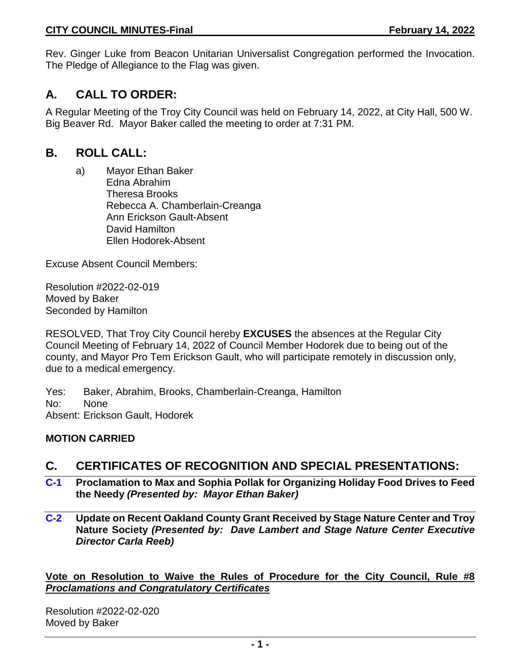Rev. Ginger Luke from Beacon Unitarian Universalist Congregation performed the Invocation. The Pledge of Allegiance to the Flag was given.

# **A. CALL TO ORDER:**

A Regular Meeting of the Troy City Council was held on February 14, 2022, at City Hall, 500 W. Big Beaver Rd. Mayor Baker called the meeting to order at 7:31 PM.

## **B. ROLL CALL:**

a) Mayor Ethan Baker Edna Abrahim Theresa Brooks Rebecca A. Chamberlain-Creanga Ann Erickson Gault-Absent David Hamilton Ellen Hodorek-Absent

Excuse Absent Council Members:

Resolution #2022-02-019 Moved by Baker Seconded by Hamilton

RESOLVED, That Troy City Council hereby **EXCUSES** the absences at the Regular City Council Meeting of February 14, 2022 of Council Member Hodorek due to being out of the county, and Mayor Pro Tem Erickson Gault, who will participate remotely in discussion only, due to a medical emergency.

Yes: Baker, Abrahim, Brooks, Chamberlain-Creanga, Hamilton No: None Absent: Erickson Gault, Hodorek

## **MOTION CARRIED**

## **C. CERTIFICATES OF RECOGNITION AND SPECIAL PRESENTATIONS:**

- **C-1 Proclamation to Max and Sophia Pollak for Organizing Holiday Food Drives to Feed the Needy** *(Presented by: Mayor Ethan Baker)*
- **C-2 Update on Recent Oakland County Grant Received by Stage Nature Center and Troy Nature Society** *(Presented by: Dave Lambert and Stage Nature Center Executive Director Carla Reeb)*

**Vote on Resolution to Waive the Rules of Procedure for the City Council, Rule #8**  *Proclamations and Congratulatory Certificates*

Resolution #2022-02-020 Moved by Baker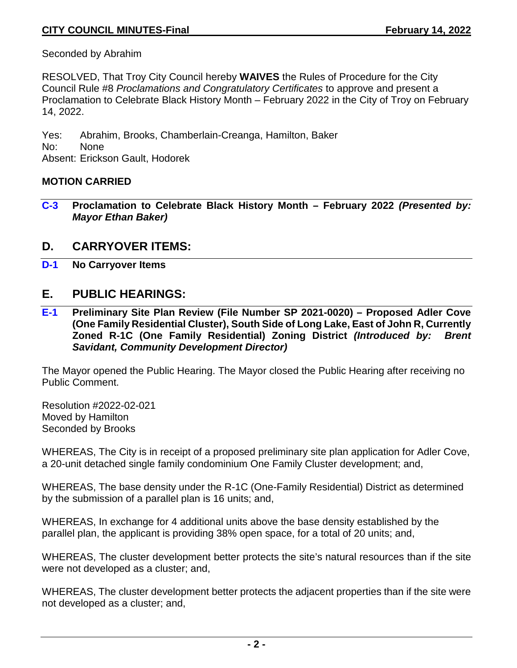Seconded by Abrahim

RESOLVED, That Troy City Council hereby **WAIVES** the Rules of Procedure for the City Council Rule #8 *Proclamations and Congratulatory Certificates* to approve and present a Proclamation to Celebrate Black History Month – February 2022 in the City of Troy on February 14, 2022.

Yes: Abrahim, Brooks, Chamberlain-Creanga, Hamilton, Baker No: None Absent: Erickson Gault, Hodorek

#### **MOTION CARRIED**

**C-3 Proclamation to Celebrate Black History Month – February 2022** *(Presented by: Mayor Ethan Baker)*

## **D. CARRYOVER ITEMS:**

**D-1 No Carryover Items**

## **E. PUBLIC HEARINGS:**

**E-1 Preliminary Site Plan Review (File Number SP 2021-0020) – Proposed Adler Cove (One Family Residential Cluster), South Side of Long Lake, East of John R, Currently Zoned R-1C (One Family Residential) Zoning District** *(Introduced by: Brent Savidant, Community Development Director)*

The Mayor opened the Public Hearing. The Mayor closed the Public Hearing after receiving no Public Comment.

Resolution #2022-02-021 Moved by Hamilton Seconded by Brooks

WHEREAS, The City is in receipt of a proposed preliminary site plan application for Adler Cove, a 20-unit detached single family condominium One Family Cluster development; and,

WHEREAS, The base density under the R-1C (One-Family Residential) District as determined by the submission of a parallel plan is 16 units; and,

WHEREAS, In exchange for 4 additional units above the base density established by the parallel plan, the applicant is providing 38% open space, for a total of 20 units; and,

WHEREAS, The cluster development better protects the site's natural resources than if the site were not developed as a cluster; and,

WHEREAS, The cluster development better protects the adjacent properties than if the site were not developed as a cluster; and,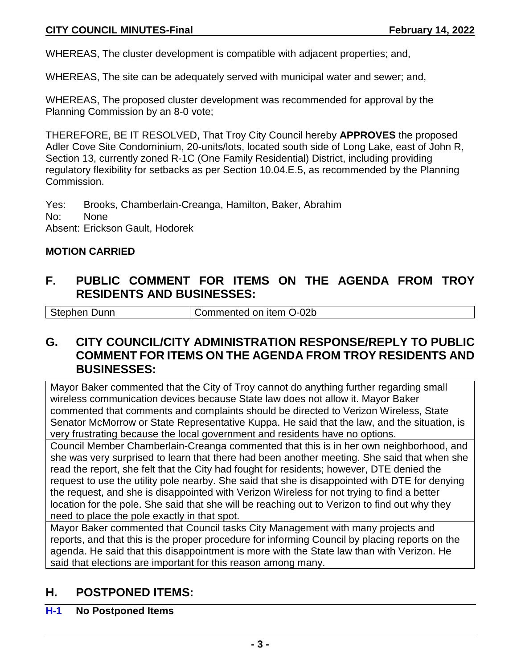WHEREAS, The cluster development is compatible with adjacent properties; and,

WHEREAS, The site can be adequately served with municipal water and sewer; and,

WHEREAS, The proposed cluster development was recommended for approval by the Planning Commission by an 8-0 vote;

THEREFORE, BE IT RESOLVED, That Troy City Council hereby **APPROVES** the proposed Adler Cove Site Condominium, 20-units/lots, located south side of Long Lake, east of John R, Section 13, currently zoned R-1C (One Family Residential) District, including providing regulatory flexibility for setbacks as per Section 10.04.E.5, as recommended by the Planning Commission.

Yes: Brooks, Chamberlain-Creanga, Hamilton, Baker, Abrahim No: None Absent: Erickson Gault, Hodorek

#### **MOTION CARRIED**

## **F. PUBLIC COMMENT FOR ITEMS ON THE AGENDA FROM TROY RESIDENTS AND BUSINESSES:**

Stephen Dunn Commented on item O-02b

## **G. CITY COUNCIL/CITY ADMINISTRATION RESPONSE/REPLY TO PUBLIC COMMENT FOR ITEMS ON THE AGENDA FROM TROY RESIDENTS AND BUSINESSES:**

Mayor Baker commented that the City of Troy cannot do anything further regarding small wireless communication devices because State law does not allow it. Mayor Baker commented that comments and complaints should be directed to Verizon Wireless, State Senator McMorrow or State Representative Kuppa. He said that the law, and the situation, is very frustrating because the local government and residents have no options.

Council Member Chamberlain-Creanga commented that this is in her own neighborhood, and she was very surprised to learn that there had been another meeting. She said that when she read the report, she felt that the City had fought for residents; however, DTE denied the request to use the utility pole nearby. She said that she is disappointed with DTE for denying the request, and she is disappointed with Verizon Wireless for not trying to find a better location for the pole. She said that she will be reaching out to Verizon to find out why they need to place the pole exactly in that spot.

Mayor Baker commented that Council tasks City Management with many projects and reports, and that this is the proper procedure for informing Council by placing reports on the agenda. He said that this disappointment is more with the State law than with Verizon. He said that elections are important for this reason among many.

## **H. POSTPONED ITEMS:**

#### **H-1 No Postponed Items**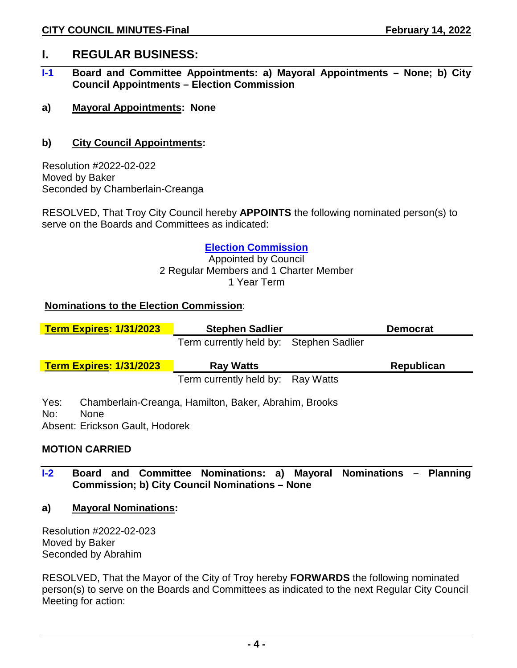## **I. REGULAR BUSINESS:**

- **I-1 Board and Committee Appointments: a) Mayoral Appointments – None; b) City Council Appointments – Election Commission**
- **a) Mayoral Appointments: None**

#### **b) City Council Appointments:**

Resolution #2022-02-022 Moved by Baker Seconded by Chamberlain-Creanga

RESOLVED, That Troy City Council hereby **APPOINTS** the following nominated person(s) to serve on the Boards and Committees as indicated:

#### **Election Commission**

Appointed by Council 2 Regular Members and 1 Charter Member 1 Year Term

#### **Nominations to the Election Commission**:

| <b>Term Expires: 1/31/2023</b>                                | <b>Stephen Sadlier</b>                                | <b>Democrat</b>   |
|---------------------------------------------------------------|-------------------------------------------------------|-------------------|
|                                                               | Term currently held by: Stephen Sadlier               |                   |
| <b>Term Expires: 1/31/2023</b>                                | <b>Ray Watts</b>                                      | <b>Republican</b> |
|                                                               | Term currently held by: Ray Watts                     |                   |
| Yes:<br>No:<br><b>None</b><br>Absent: Erickson Gault, Hodorek | Chamberlain-Creanga, Hamilton, Baker, Abrahim, Brooks |                   |

#### **MOTION CARRIED**

- **I-2 Board and Committee Nominations: a) Mayoral Nominations – Planning Commission; b) City Council Nominations – None**
- **a) Mayoral Nominations:**

Resolution #2022-02-023 Moved by Baker Seconded by Abrahim

RESOLVED, That the Mayor of the City of Troy hereby **FORWARDS** the following nominated person(s) to serve on the Boards and Committees as indicated to the next Regular City Council Meeting for action: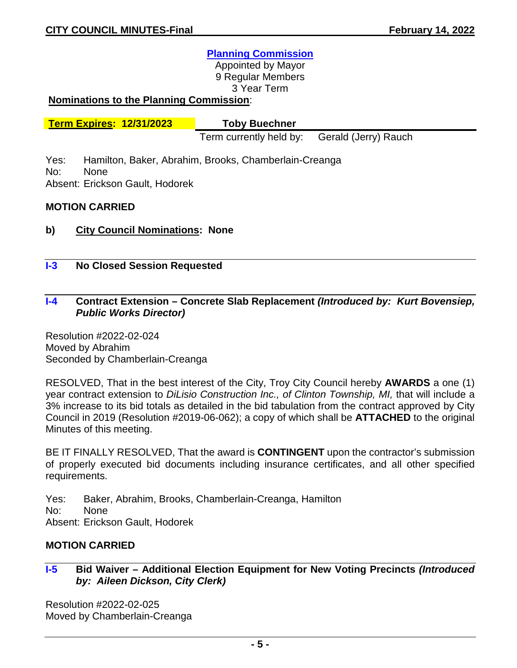#### **Planning Commission**

Appointed by Mayor 9 Regular Members 3 Year Term

#### **Nominations to the Planning Commission**:

**Term Expires: 12/31/2023 Toby Buechner**

Term currently held by: Gerald (Jerry) Rauch

Yes: Hamilton, Baker, Abrahim, Brooks, Chamberlain-Creanga No: None

Absent: Erickson Gault, Hodorek

#### **MOTION CARRIED**

- **b) City Council Nominations: None**
- **I-3 No Closed Session Requested**

#### **I-4 Contract Extension – Concrete Slab Replacement** *(Introduced by: Kurt Bovensiep, Public Works Director)*

Resolution #2022-02-024 Moved by Abrahim Seconded by Chamberlain-Creanga

RESOLVED, That in the best interest of the City, Troy City Council hereby **AWARDS** a one (1) year contract extension to *DiLisio Construction Inc., of Clinton Township, MI,* that will include a 3% increase to its bid totals as detailed in the bid tabulation from the contract approved by City Council in 2019 (Resolution #2019-06-062); a copy of which shall be **ATTACHED** to the original Minutes of this meeting.

BE IT FINALLY RESOLVED, That the award is **CONTINGENT** upon the contractor's submission of properly executed bid documents including insurance certificates, and all other specified requirements.

- Yes: Baker, Abrahim, Brooks, Chamberlain-Creanga, Hamilton
- No: None

Absent: Erickson Gault, Hodorek

#### **MOTION CARRIED**

#### **I-5 Bid Waiver – Additional Election Equipment for New Voting Precincts** *(Introduced by: Aileen Dickson, City Clerk)*

Resolution #2022-02-025 Moved by Chamberlain-Creanga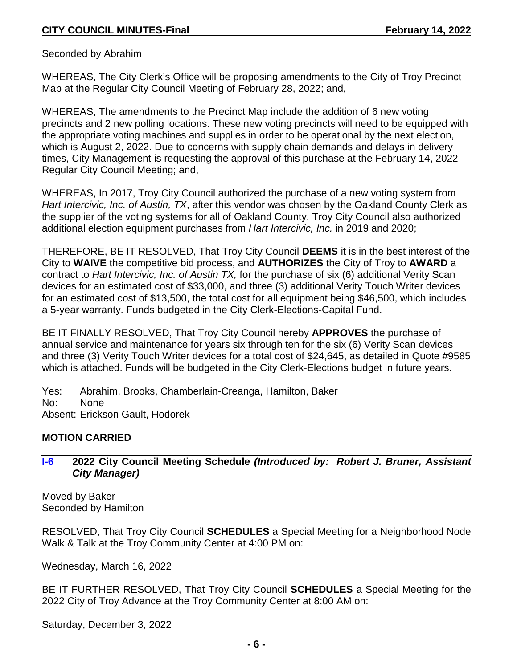Seconded by Abrahim

WHEREAS, The City Clerk's Office will be proposing amendments to the City of Troy Precinct Map at the Regular City Council Meeting of February 28, 2022; and,

WHEREAS, The amendments to the Precinct Map include the addition of 6 new voting precincts and 2 new polling locations. These new voting precincts will need to be equipped with the appropriate voting machines and supplies in order to be operational by the next election, which is August 2, 2022. Due to concerns with supply chain demands and delays in delivery times, City Management is requesting the approval of this purchase at the February 14, 2022 Regular City Council Meeting; and,

WHEREAS, In 2017, Troy City Council authorized the purchase of a new voting system from *Hart Intercivic, Inc. of Austin, TX*, after this vendor was chosen by the Oakland County Clerk as the supplier of the voting systems for all of Oakland County. Troy City Council also authorized additional election equipment purchases from *Hart Intercivic, Inc.* in 2019 and 2020;

THEREFORE, BE IT RESOLVED, That Troy City Council **DEEMS** it is in the best interest of the City to **WAIVE** the competitive bid process, and **AUTHORIZES** the City of Troy to **AWARD** a contract to *Hart Intercivic, Inc. of Austin TX,* for the purchase of six (6) additional Verity Scan devices for an estimated cost of \$33,000, and three (3) additional Verity Touch Writer devices for an estimated cost of \$13,500, the total cost for all equipment being \$46,500, which includes a 5-year warranty. Funds budgeted in the City Clerk-Elections-Capital Fund.

BE IT FINALLY RESOLVED, That Troy City Council hereby **APPROVES** the purchase of annual service and maintenance for years six through ten for the six (6) Verity Scan devices and three (3) Verity Touch Writer devices for a total cost of \$24,645, as detailed in Quote #9585 which is attached. Funds will be budgeted in the City Clerk-Elections budget in future years.

Yes: Abrahim, Brooks, Chamberlain-Creanga, Hamilton, Baker No: None Absent: Erickson Gault, Hodorek

#### **MOTION CARRIED**

#### **I-6 2022 City Council Meeting Schedule** *(Introduced by: Robert J. Bruner, Assistant City Manager)*

Moved by Baker Seconded by Hamilton

RESOLVED, That Troy City Council **SCHEDULES** a Special Meeting for a Neighborhood Node Walk & Talk at the Troy Community Center at 4:00 PM on:

Wednesday, March 16, 2022

BE IT FURTHER RESOLVED, That Troy City Council **SCHEDULES** a Special Meeting for the 2022 City of Troy Advance at the Troy Community Center at 8:00 AM on:

Saturday, December 3, 2022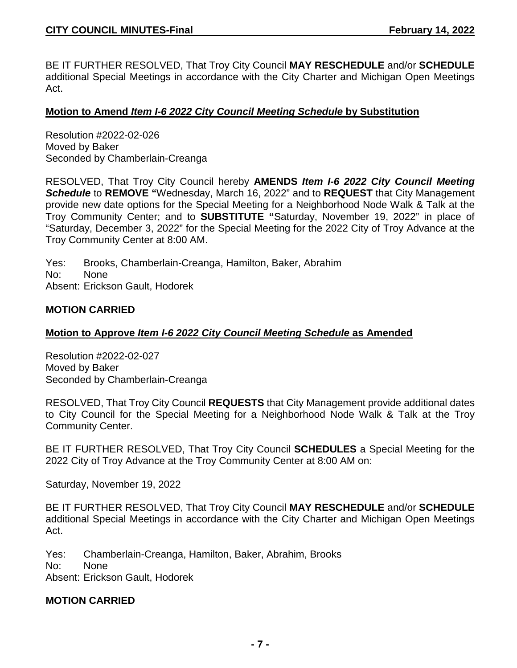BE IT FURTHER RESOLVED, That Troy City Council **MAY RESCHEDULE** and/or **SCHEDULE** additional Special Meetings in accordance with the City Charter and Michigan Open Meetings Act.

#### **Motion to Amend** *Item I-6 2022 City Council Meeting Schedule* **by Substitution**

Resolution #2022-02-026 Moved by Baker Seconded by Chamberlain-Creanga

RESOLVED, That Troy City Council hereby **AMENDS** *Item I-6 2022 City Council Meeting Schedule* to **REMOVE "**Wednesday, March 16, 2022" and to **REQUEST** that City Management provide new date options for the Special Meeting for a Neighborhood Node Walk & Talk at the Troy Community Center; and to **SUBSTITUTE "**Saturday, November 19, 2022" in place of "Saturday, December 3, 2022" for the Special Meeting for the 2022 City of Troy Advance at the Troy Community Center at 8:00 AM.

Yes: Brooks, Chamberlain-Creanga, Hamilton, Baker, Abrahim No: None Absent: Erickson Gault, Hodorek

#### **MOTION CARRIED**

#### **Motion to Approve** *Item I-6 2022 City Council Meeting Schedule* **as Amended**

Resolution #2022-02-027 Moved by Baker Seconded by Chamberlain-Creanga

RESOLVED, That Troy City Council **REQUESTS** that City Management provide additional dates to City Council for the Special Meeting for a Neighborhood Node Walk & Talk at the Troy Community Center.

BE IT FURTHER RESOLVED, That Troy City Council **SCHEDULES** a Special Meeting for the 2022 City of Troy Advance at the Troy Community Center at 8:00 AM on:

Saturday, November 19, 2022

BE IT FURTHER RESOLVED, That Troy City Council **MAY RESCHEDULE** and/or **SCHEDULE** additional Special Meetings in accordance with the City Charter and Michigan Open Meetings Act.

Yes: Chamberlain-Creanga, Hamilton, Baker, Abrahim, Brooks

No: None

Absent: Erickson Gault, Hodorek

#### **MOTION CARRIED**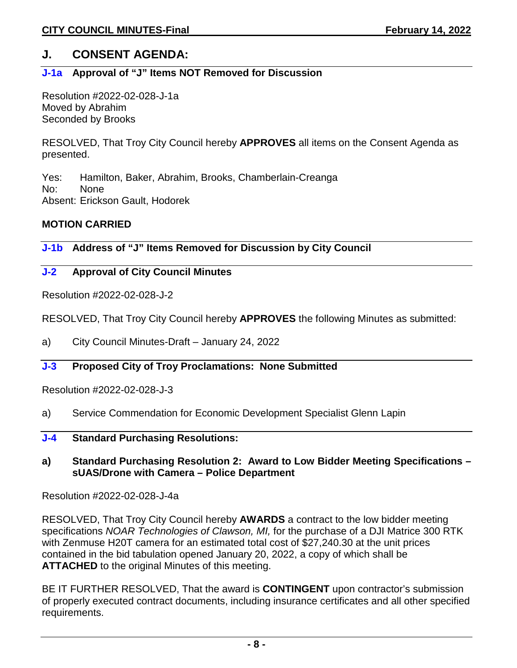## **J. CONSENT AGENDA:**

## **J-1a Approval of "J" Items NOT Removed for Discussion**

Resolution #2022-02-028-J-1a Moved by Abrahim Seconded by Brooks

RESOLVED, That Troy City Council hereby **APPROVES** all items on the Consent Agenda as presented.

Yes: Hamilton, Baker, Abrahim, Brooks, Chamberlain-Creanga No: None Absent: Erickson Gault, Hodorek

#### **MOTION CARRIED**

**J-1b Address of "J" Items Removed for Discussion by City Council** 

#### **J-2 Approval of City Council Minutes**

Resolution #2022-02-028-J-2

RESOLVED, That Troy City Council hereby **APPROVES** the following Minutes as submitted:

a) City Council Minutes-Draft – January 24, 2022

#### **J-3 Proposed City of Troy Proclamations: None Submitted**

Resolution #2022-02-028-J-3

- a) Service Commendation for Economic Development Specialist Glenn Lapin
- **J-4 Standard Purchasing Resolutions:**

#### **a) Standard Purchasing Resolution 2: Award to Low Bidder Meeting Specifications – sUAS/Drone with Camera – Police Department**

Resolution #2022-02-028-J-4a

RESOLVED, That Troy City Council hereby **AWARDS** a contract to the low bidder meeting specifications *NOAR Technologies of Clawson, MI,* for the purchase of a DJI Matrice 300 RTK with Zenmuse H20T camera for an estimated total cost of \$27,240.30 at the unit prices contained in the bid tabulation opened January 20, 2022, a copy of which shall be **ATTACHED** to the original Minutes of this meeting.

BE IT FURTHER RESOLVED, That the award is **CONTINGENT** upon contractor's submission of properly executed contract documents, including insurance certificates and all other specified requirements.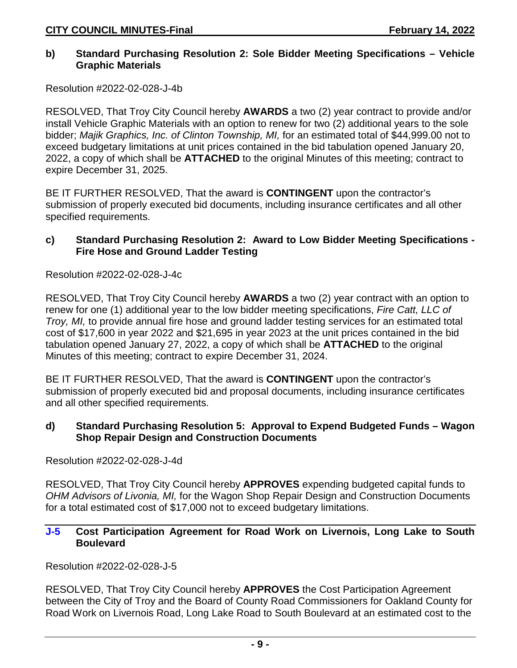#### **b) Standard Purchasing Resolution 2: Sole Bidder Meeting Specifications – Vehicle Graphic Materials**

Resolution #2022-02-028-J-4b

RESOLVED, That Troy City Council hereby **AWARDS** a two (2) year contract to provide and/or install Vehicle Graphic Materials with an option to renew for two (2) additional years to the sole bidder; *Majik Graphics, Inc. of Clinton Township, MI,* for an estimated total of \$44,999.00 not to exceed budgetary limitations at unit prices contained in the bid tabulation opened January 20, 2022, a copy of which shall be **ATTACHED** to the original Minutes of this meeting; contract to expire December 31, 2025.

BE IT FURTHER RESOLVED, That the award is **CONTINGENT** upon the contractor's submission of properly executed bid documents, including insurance certificates and all other specified requirements.

#### **c) Standard Purchasing Resolution 2: Award to Low Bidder Meeting Specifications - Fire Hose and Ground Ladder Testing**

Resolution #2022-02-028-J-4c

RESOLVED, That Troy City Council hereby **AWARDS** a two (2) year contract with an option to renew for one (1) additional year to the low bidder meeting specifications, *Fire Catt, LLC of Troy, MI,* to provide annual fire hose and ground ladder testing services for an estimated total cost of \$17,600 in year 2022 and \$21,695 in year 2023 at the unit prices contained in the bid tabulation opened January 27, 2022, a copy of which shall be **ATTACHED** to the original Minutes of this meeting; contract to expire December 31, 2024.

BE IT FURTHER RESOLVED, That the award is **CONTINGENT** upon the contractor's submission of properly executed bid and proposal documents, including insurance certificates and all other specified requirements.

#### **d) Standard Purchasing Resolution 5: Approval to Expend Budgeted Funds – Wagon Shop Repair Design and Construction Documents**

Resolution #2022-02-028-J-4d

RESOLVED, That Troy City Council hereby **APPROVES** expending budgeted capital funds to *OHM Advisors of Livonia, MI,* for the Wagon Shop Repair Design and Construction Documents for a total estimated cost of \$17,000 not to exceed budgetary limitations.

#### **J-5 Cost Participation Agreement for Road Work on Livernois, Long Lake to South Boulevard**

Resolution #2022-02-028-J-5

RESOLVED, That Troy City Council hereby **APPROVES** the Cost Participation Agreement between the City of Troy and the Board of County Road Commissioners for Oakland County for Road Work on Livernois Road, Long Lake Road to South Boulevard at an estimated cost to the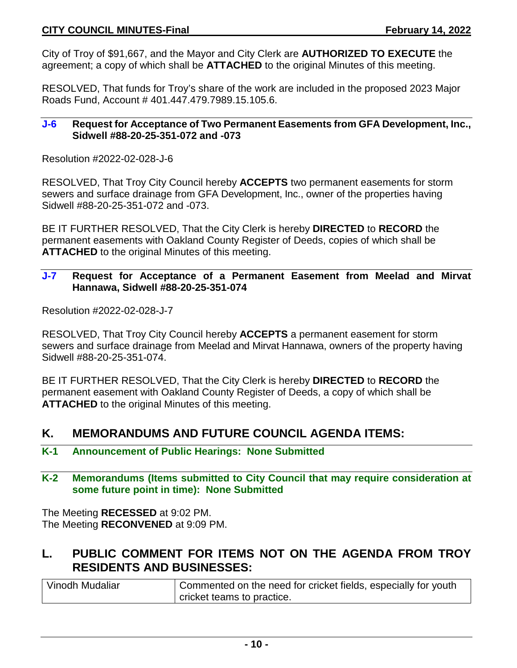City of Troy of \$91,667, and the Mayor and City Clerk are **AUTHORIZED TO EXECUTE** the agreement; a copy of which shall be **ATTACHED** to the original Minutes of this meeting.

RESOLVED, That funds for Troy's share of the work are included in the proposed 2023 Major Roads Fund, Account # 401.447.479.7989.15.105.6.

#### **J-6 Request for Acceptance of Two Permanent Easements from GFA Development, Inc., Sidwell #88-20-25-351-072 and -073**

Resolution #2022-02-028-J-6

RESOLVED, That Troy City Council hereby **ACCEPTS** two permanent easements for storm sewers and surface drainage from GFA Development, Inc., owner of the properties having Sidwell #88-20-25-351-072 and -073.

BE IT FURTHER RESOLVED, That the City Clerk is hereby **DIRECTED** to **RECORD** the permanent easements with Oakland County Register of Deeds, copies of which shall be **ATTACHED** to the original Minutes of this meeting.

## **J-7 Request for Acceptance of a Permanent Easement from Meelad and Mirvat Hannawa, Sidwell #88-20-25-351-074**

Resolution #2022-02-028-J-7

RESOLVED, That Troy City Council hereby **ACCEPTS** a permanent easement for storm sewers and surface drainage from Meelad and Mirvat Hannawa, owners of the property having Sidwell #88-20-25-351-074.

BE IT FURTHER RESOLVED, That the City Clerk is hereby **DIRECTED** to **RECORD** the permanent easement with Oakland County Register of Deeds, a copy of which shall be **ATTACHED** to the original Minutes of this meeting.

## **K. MEMORANDUMS AND FUTURE COUNCIL AGENDA ITEMS:**

- **K-1 Announcement of Public Hearings: None Submitted**
- **K-2 Memorandums (Items submitted to City Council that may require consideration at some future point in time): None Submitted**

The Meeting **RECESSED** at 9:02 PM. The Meeting **RECONVENED** at 9:09 PM.

# **L. PUBLIC COMMENT FOR ITEMS NOT ON THE AGENDA FROM TROY RESIDENTS AND BUSINESSES:**

| Vinodh Mudaliar | Commented on the need for cricket fields, especially for youth |
|-----------------|----------------------------------------------------------------|
|                 | cricket teams to practice.                                     |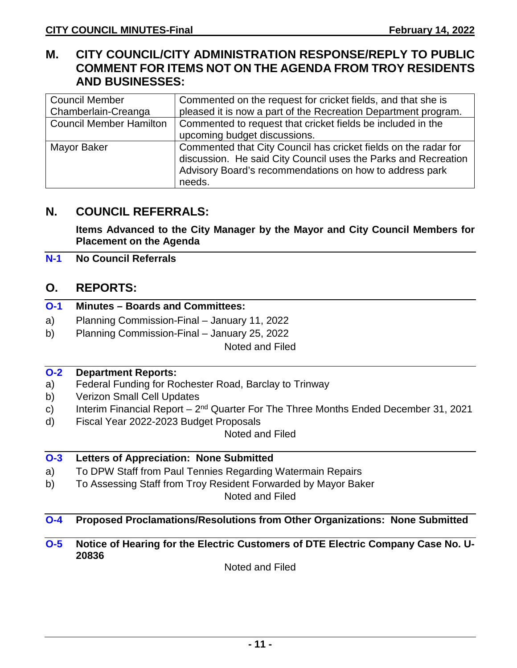## **M. CITY COUNCIL/CITY ADMINISTRATION RESPONSE/REPLY TO PUBLIC COMMENT FOR ITEMS NOT ON THE AGENDA FROM TROY RESIDENTS AND BUSINESSES:**

| <b>Council Member</b>          | Commented on the request for cricket fields, and that she is    |  |
|--------------------------------|-----------------------------------------------------------------|--|
| Chamberlain-Creanga            | pleased it is now a part of the Recreation Department program.  |  |
| <b>Council Member Hamilton</b> | Commented to request that cricket fields be included in the     |  |
|                                | upcoming budget discussions.                                    |  |
| Mayor Baker                    | Commented that City Council has cricket fields on the radar for |  |
|                                | discussion. He said City Council uses the Parks and Recreation  |  |
|                                | Advisory Board's recommendations on how to address park         |  |
|                                | needs.                                                          |  |

## **N. COUNCIL REFERRALS:**

**Items Advanced to the City Manager by the Mayor and City Council Members for Placement on the Agenda**

#### **N-1 No Council Referrals**

## **O. REPORTS:**

|  |  | <b>O-1</b> Minutes – Boards and Committees: |
|--|--|---------------------------------------------|
|  |  |                                             |

- a) Planning Commission-Final January 11, 2022
- b) Planning Commission-Final January 25, 2022

Noted and Filed

#### **O-2 Department Reports:**

- a) Federal Funding for Rochester Road, Barclay to Trinway
- b) Verizon Small Cell Updates
- c) Interim Financial Report  $2^{nd}$  Quarter For The Three Months Ended December 31, 2021
- d) Fiscal Year 2022-2023 Budget Proposals

Noted and Filed

#### **O-3 Letters of Appreciation: None Submitted**

- a) To DPW Staff from Paul Tennies Regarding Watermain Repairs
- b) To Assessing Staff from Troy Resident Forwarded by Mayor Baker

Noted and Filed

## **O-4 Proposed Proclamations/Resolutions from Other Organizations: None Submitted**

**O-5 Notice of Hearing for the Electric Customers of DTE Electric Company Case No. U-20836**

Noted and Filed